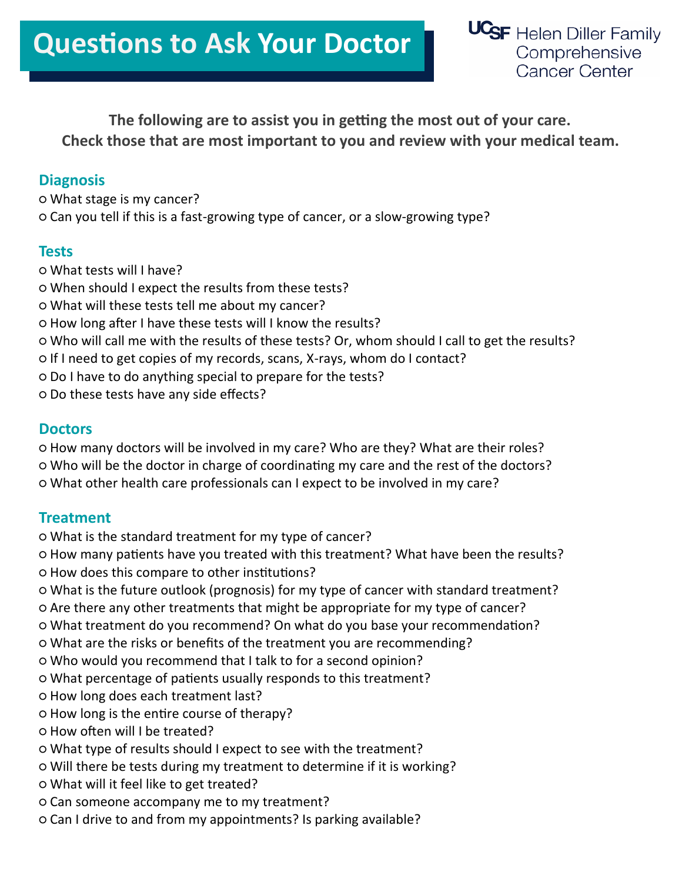### **The following are to assist you in getting the most out of your care. Check those that are most important to you and review with your medical team.**

#### **Diagnosis**

**○** What stage is my cancer? **○** Can you tell if this is a fast-growing type of cancer, or a slow-growing type?

#### **Tests**

**○** What tests will I have? **○** When should I expect the results from these tests? **○** What will these tests tell me about my cancer? **○** How long after I have these tests will I know the results? **○** Who will call me with the results of these tests? Or, whom should I call to get the results? **○** If I need to get copies of my records, scans, X-rays, whom do I contact? **○** Do I have to do anything special to prepare for the tests? **○** Do these tests have any side effects?

#### **Doctors**

**○** How many doctors will be involved in my care? Who are they? What are their roles? **○** Who will be the doctor in charge of coordinating my care and the rest of the doctors? **○** What other health care professionals can I expect to be involved in my care?

#### **Treatment**

- **○** What is the standard treatment for my type of cancer?
- **○** How many patients have you treated with this treatment? What have been the results? **○** How does this compare to other institutions?
- **○** What is the future outlook (prognosis) for my type of cancer with standard treatment?
- **○** Are there any other treatments that might be appropriate for my type of cancer?
- **○** What treatment do you recommend? On what do you base your recommendation?
- **○** What are the risks or benefits of the treatment you are recommending?
- **○** Who would you recommend that I talk to for a second opinion?
- **○** What percentage of patients usually responds to this treatment?
- **○** How long does each treatment last?
- **○** How long is the entire course of therapy?
- **○** How often will I be treated?
- **○** What type of results should I expect to see with the treatment?
- **○** Will there be tests during my treatment to determine if it is working?
- **○** What will it feel like to get treated?
- **○** Can someone accompany me to my treatment?
- **○** Can I drive to and from my appointments? Is parking available?